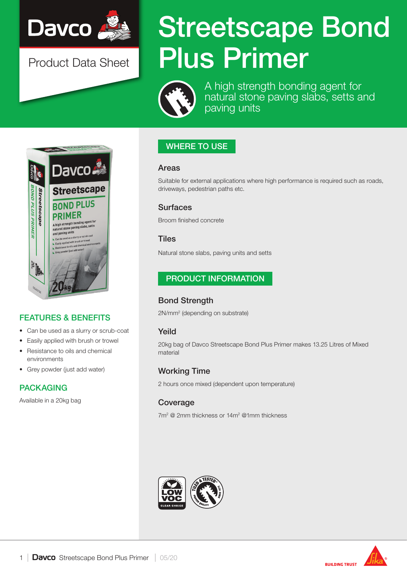

Product Data Sheet

# Streetscape Bond Plus Primer



A high strength bonding agent for natural stone paving slabs, setts and paving units

## WHERE TO USE

#### Areas

Suitable for external applications where high performance is required such as roads, driveways, pedestrian paths etc.

#### Surfaces

Broom finished concrete

#### **Tiles**

Natural stone slabs, paving units and setts

## PRODUCT INFORMATION

## Bond Strength

2N/mm2 (depending on substrate)

## Yeild

20kg bag of Davco Streetscape Bond Plus Primer makes 13.25 Litres of Mixed material

#### Working Time

2 hours once mixed (dependent upon temperature)

#### Coverage

7m<sup>2</sup> @ 2mm thickness or 14m<sup>2</sup> @1mm thickness







**Davco** 

## FEATURES & BENEFITS

- Can be used as a slurry or scrub-coat
- Easily applied with brush or trowel
- Resistance to oils and chemical environments
- Grey powder (just add water)

## PACKAGING

Available in a 20kg bag

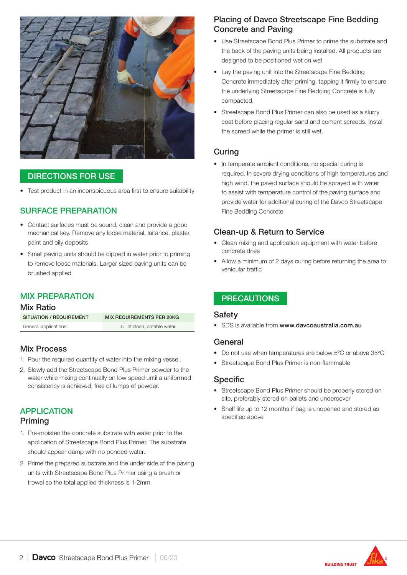

### DIRECTIONS FOR USE

• Test product in an inconspicuous area first to ensure suitability

### SURFACE PREPARATION

- Contact surfaces must be sound, clean and provide a good mechanical key. Remove any loose material, laitance, plaster, paint and oily deposits
- Small paving units should be dipped in water prior to priming to remove loose materials. Larger sized paving units can be brushed applied

## MIX PREPARATION

#### Mix Ratio

| SITUATION / REQUIREMENT | <b>MIX REQUIREMENTS PER 20KG</b> |
|-------------------------|----------------------------------|
| General applications    | 5L of clean, potable water       |

#### Mix Process

- 1. Pour the required quantity of water into the mixing vessel.
- 2. Slowly add the Streetscape Bond Plus Primer powder to the water while mixing continually on low speed until a uniformed consistency is achieved, free of lumps of powder.

## **APPLICATION**

#### Priming

- 1. Pre-moisten the concrete substrate with water prior to the application of Streetscape Bond Plus Primer. The substrate should appear damp with no ponded water.
- 2. Prime the prepared substrate and the under side of the paving units with Streetscape Bond Plus Primer using a brush or trowel so the total applied thickness is 1-2mm.

## Placing of Davco Streetscape Fine Bedding Concrete and Paving

- Use Streetscape Bond Plus Primer to prime the substrate and the back of the paving units being installed. All products are designed to be positioned wet on wet
- Lay the paving unit into the Streetscape Fine Bedding Concrete immediately after priming, tapping it firmly to ensure the underlying Streetscape Fine Bedding Concrete is fully compacted.
- Streetscape Bond Plus Primer can also be used as a slurry coat before placing regular sand and cement screeds. Install the screed while the primer is still wet.

## Curing

• In temperate ambient conditions, no special curing is required. In severe drying conditions of high temperatures and high wind, the paved surface should be sprayed with water to assist with temperature control of the paving surface and provide water for additional curing of the Davco Streetscape Fine Bedding Concrete

## Clean-up & Return to Service

- Clean mixing and application equipment with water before concrete dries
- Allow a minimum of 2 days curing before returning the area to vehicular traffic

## **PRECAUTIONS**

#### Safety

• SDS is available from www.davcoaustralia.com.au

#### General

- Do not use when temperatures are below 5ºC or above 35ºC
- Streetscape Bond Plus Primer is non-flammable

#### Specific

- Streetscape Bond Plus Primer should be properly stored on site, preferably stored on pallets and undercover
- Shelf life up to 12 months if bag is unopened and stored as specified above